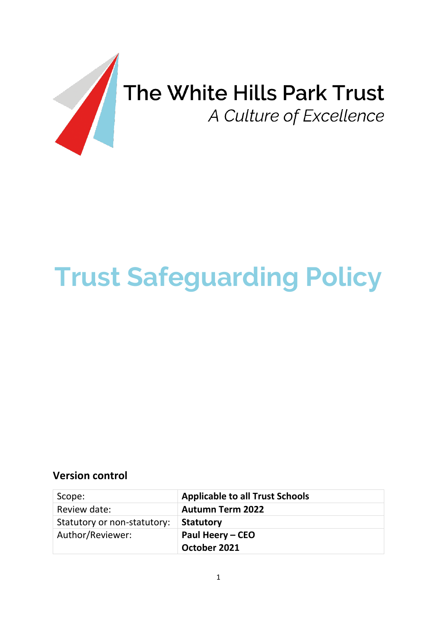

# **Trust Safeguarding Policy**

## **Version control**

| Scope:                      | <b>Applicable to all Trust Schools</b> |
|-----------------------------|----------------------------------------|
| Review date:                | <b>Autumn Term 2022</b>                |
| Statutory or non-statutory: | <b>Statutory</b>                       |
| Author/Reviewer:            | Paul Heery – CEO                       |
|                             | October 2021                           |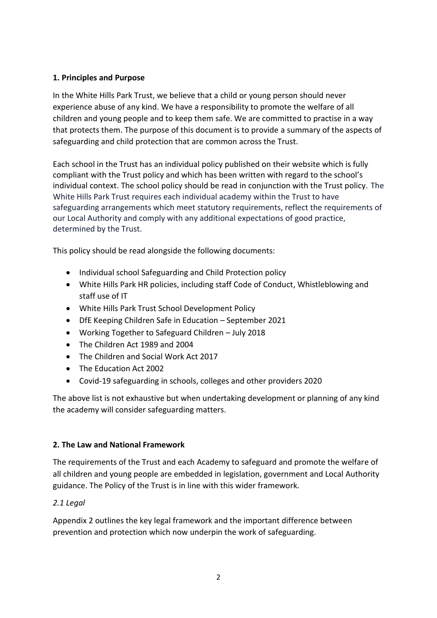## **1. Principles and Purpose**

In the White Hills Park Trust, we believe that a child or young person should never experience abuse of any kind. We have a responsibility to promote the welfare of all children and young people and to keep them safe. We are committed to practise in a way that protects them. The purpose of this document is to provide a summary of the aspects of safeguarding and child protection that are common across the Trust.

Each school in the Trust has an individual policy published on their website which is fully compliant with the Trust policy and which has been written with regard to the school's individual context. The school policy should be read in conjunction with the Trust policy. The White Hills Park Trust requires each individual academy within the Trust to have safeguarding arrangements which meet statutory requirements, reflect the requirements of our Local Authority and comply with any additional expectations of good practice, determined by the Trust.

This policy should be read alongside the following documents:

- Individual school Safeguarding and Child Protection policy
- White Hills Park HR policies, including staff Code of Conduct, Whistleblowing and staff use of IT
- White Hills Park Trust School Development Policy
- DfE Keeping Children Safe in Education September 2021
- Working Together to Safeguard Children July 2018
- The Children Act 1989 and 2004
- The Children and Social Work Act 2017
- The Education Act 2002
- Covid-19 safeguarding in schools, colleges and other providers 2020

The above list is not exhaustive but when undertaking development or planning of any kind the academy will consider safeguarding matters.

#### **2. The Law and National Framework**

The requirements of the Trust and each Academy to safeguard and promote the welfare of all children and young people are embedded in legislation, government and Local Authority guidance. The Policy of the Trust is in line with this wider framework.

#### *2.1 Legal*

Appendix 2 outlines the key legal framework and the important difference between prevention and protection which now underpin the work of safeguarding.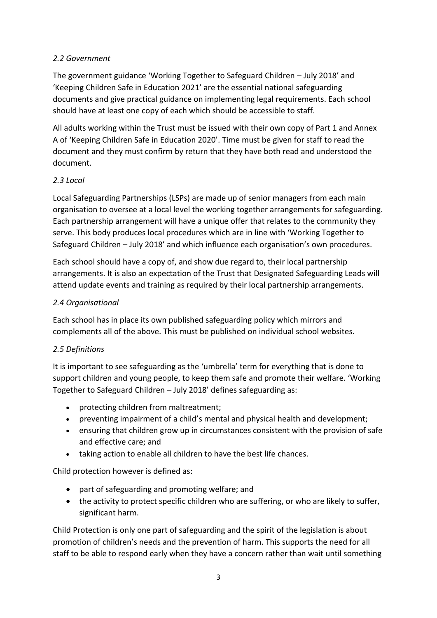## *2.2 Government*

The government guidance 'Working Together to Safeguard Children – July 2018' and 'Keeping Children Safe in Education 2021' are the essential national safeguarding documents and give practical guidance on implementing legal requirements. Each school should have at least one copy of each which should be accessible to staff.

All adults working within the Trust must be issued with their own copy of Part 1 and Annex A of 'Keeping Children Safe in Education 2020'. Time must be given for staff to read the document and they must confirm by return that they have both read and understood the document.

## *2.3 Local*

Local Safeguarding Partnerships (LSPs) are made up of senior managers from each main organisation to oversee at a local level the working together arrangements for safeguarding. Each partnership arrangement will have a unique offer that relates to the community they serve. This body produces local procedures which are in line with 'Working Together to Safeguard Children – July 2018' and which influence each organisation's own procedures.

Each school should have a copy of, and show due regard to, their local partnership arrangements. It is also an expectation of the Trust that Designated Safeguarding Leads will attend update events and training as required by their local partnership arrangements.

## *2.4 Organisational*

Each school has in place its own published safeguarding policy which mirrors and complements all of the above. This must be published on individual school websites.

#### *2.5 Definitions*

It is important to see safeguarding as the 'umbrella' term for everything that is done to support children and young people, to keep them safe and promote their welfare. 'Working Together to Safeguard Children – July 2018' defines safeguarding as:

- protecting children from maltreatment;
- preventing impairment of a child's mental and physical health and development;
- ensuring that children grow up in circumstances consistent with the provision of safe and effective care; and
- taking action to enable all children to have the best life chances.

Child protection however is defined as:

- part of safeguarding and promoting welfare; and
- the activity to protect specific children who are suffering, or who are likely to suffer, significant harm.

Child Protection is only one part of safeguarding and the spirit of the legislation is about promotion of children's needs and the prevention of harm. This supports the need for all staff to be able to respond early when they have a concern rather than wait until something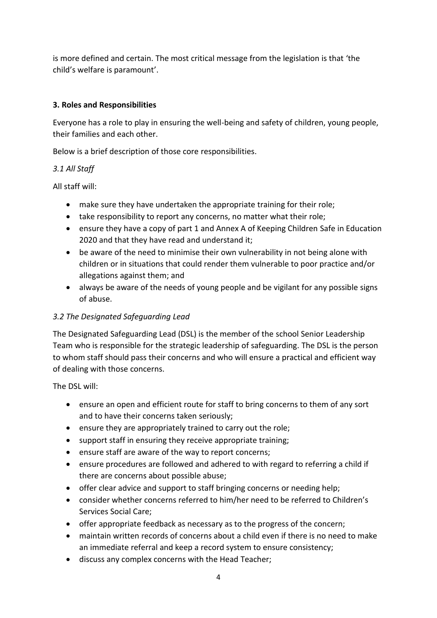is more defined and certain. The most critical message from the legislation is that 'the child's welfare is paramount'.

## **3. Roles and Responsibilities**

Everyone has a role to play in ensuring the well-being and safety of children, young people, their families and each other.

Below is a brief description of those core responsibilities.

## *3.1 All Staff*

All staff will:

- make sure they have undertaken the appropriate training for their role;
- take responsibility to report any concerns, no matter what their role;
- ensure they have a copy of part 1 and Annex A of Keeping Children Safe in Education 2020 and that they have read and understand it;
- be aware of the need to minimise their own vulnerability in not being alone with children or in situations that could render them vulnerable to poor practice and/or allegations against them; and
- always be aware of the needs of young people and be vigilant for any possible signs of abuse.

## *3.2 The Designated Safeguarding Lead*

The Designated Safeguarding Lead (DSL) is the member of the school Senior Leadership Team who is responsible for the strategic leadership of safeguarding. The DSL is the person to whom staff should pass their concerns and who will ensure a practical and efficient way of dealing with those concerns.

The DSL will:

- ensure an open and efficient route for staff to bring concerns to them of any sort and to have their concerns taken seriously;
- ensure they are appropriately trained to carry out the role;
- support staff in ensuring they receive appropriate training;
- ensure staff are aware of the way to report concerns;
- ensure procedures are followed and adhered to with regard to referring a child if there are concerns about possible abuse;
- offer clear advice and support to staff bringing concerns or needing help;
- consider whether concerns referred to him/her need to be referred to Children's Services Social Care;
- offer appropriate feedback as necessary as to the progress of the concern;
- maintain written records of concerns about a child even if there is no need to make an immediate referral and keep a record system to ensure consistency;
- discuss any complex concerns with the Head Teacher;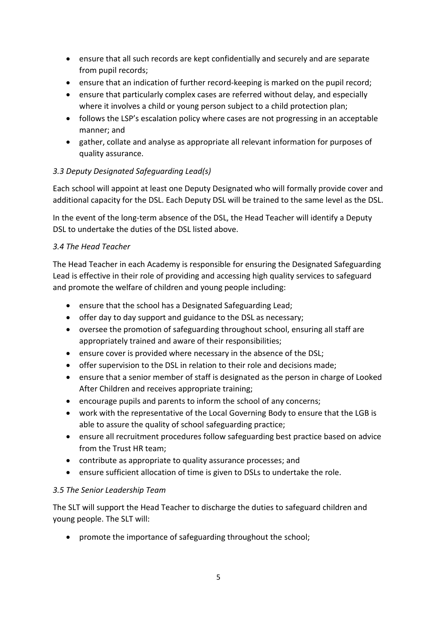- ensure that all such records are kept confidentially and securely and are separate from pupil records;
- ensure that an indication of further record-keeping is marked on the pupil record;
- ensure that particularly complex cases are referred without delay, and especially where it involves a child or young person subject to a child protection plan;
- follows the LSP's escalation policy where cases are not progressing in an acceptable manner; and
- gather, collate and analyse as appropriate all relevant information for purposes of quality assurance.

## *3.3 Deputy Designated Safeguarding Lead(s)*

Each school will appoint at least one Deputy Designated who will formally provide cover and additional capacity for the DSL. Each Deputy DSL will be trained to the same level as the DSL.

In the event of the long-term absence of the DSL, the Head Teacher will identify a Deputy DSL to undertake the duties of the DSL listed above.

## *3.4 The Head Teacher*

The Head Teacher in each Academy is responsible for ensuring the Designated Safeguarding Lead is effective in their role of providing and accessing high quality services to safeguard and promote the welfare of children and young people including:

- ensure that the school has a Designated Safeguarding Lead;
- offer day to day support and guidance to the DSL as necessary;
- oversee the promotion of safeguarding throughout school, ensuring all staff are appropriately trained and aware of their responsibilities;
- ensure cover is provided where necessary in the absence of the DSL;
- offer supervision to the DSL in relation to their role and decisions made;
- ensure that a senior member of staff is designated as the person in charge of Looked After Children and receives appropriate training;
- encourage pupils and parents to inform the school of any concerns;
- work with the representative of the Local Governing Body to ensure that the LGB is able to assure the quality of school safeguarding practice;
- ensure all recruitment procedures follow safeguarding best practice based on advice from the Trust HR team;
- contribute as appropriate to quality assurance processes; and
- ensure sufficient allocation of time is given to DSLs to undertake the role.

## *3.5 The Senior Leadership Team*

The SLT will support the Head Teacher to discharge the duties to safeguard children and young people. The SLT will:

• promote the importance of safeguarding throughout the school;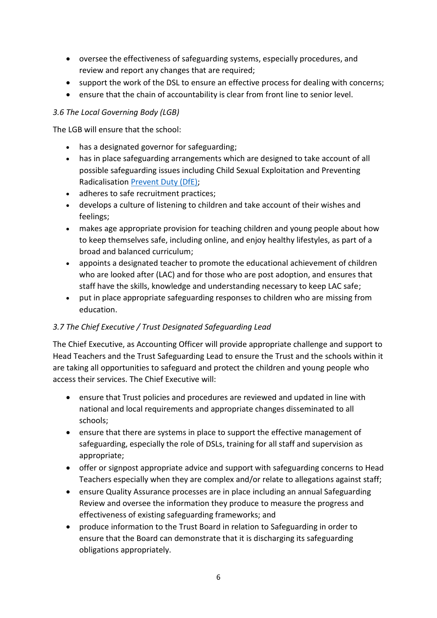- oversee the effectiveness of safeguarding systems, especially procedures, and review and report any changes that are required;
- support the work of the DSL to ensure an effective process for dealing with concerns;
- ensure that the chain of accountability is clear from front line to senior level.

## *3.6 The Local Governing Body (LGB)*

The LGB will ensure that the school:

- has a designated governor for safeguarding;
- has in place safeguarding arrangements which are designed to take account of all possible safeguarding issues including Child Sexual Exploitation and Preventing Radicalisation [Prevent Duty \(DfE\);](https://www.gov.uk/government/publications/prevent-duty-guidance)
- adheres to safe recruitment practices;
- develops a culture of listening to children and take account of their wishes and feelings;
- makes age appropriate provision for teaching children and young people about how to keep themselves safe, including online, and enjoy healthy lifestyles, as part of a broad and balanced curriculum;
- appoints a designated teacher to promote the educational achievement of children who are looked after (LAC) and for those who are post adoption, and ensures that staff have the skills, knowledge and understanding necessary to keep LAC safe;
- put in place appropriate safeguarding responses to children who are missing from education.

## *3.7 The Chief Executive / Trust Designated Safeguarding Lead*

The Chief Executive, as Accounting Officer will provide appropriate challenge and support to Head Teachers and the Trust Safeguarding Lead to ensure the Trust and the schools within it are taking all opportunities to safeguard and protect the children and young people who access their services. The Chief Executive will:

- ensure that Trust policies and procedures are reviewed and updated in line with national and local requirements and appropriate changes disseminated to all schools;
- ensure that there are systems in place to support the effective management of safeguarding, especially the role of DSLs, training for all staff and supervision as appropriate;
- offer or signpost appropriate advice and support with safeguarding concerns to Head Teachers especially when they are complex and/or relate to allegations against staff;
- ensure Quality Assurance processes are in place including an annual Safeguarding Review and oversee the information they produce to measure the progress and effectiveness of existing safeguarding frameworks; and
- produce information to the Trust Board in relation to Safeguarding in order to ensure that the Board can demonstrate that it is discharging its safeguarding obligations appropriately.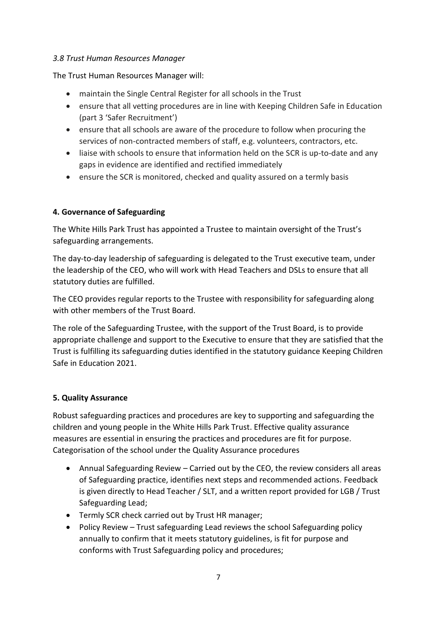#### *3.8 Trust Human Resources Manager*

The Trust Human Resources Manager will:

- maintain the Single Central Register for all schools in the Trust
- ensure that all vetting procedures are in line with Keeping Children Safe in Education (part 3 'Safer Recruitment')
- ensure that all schools are aware of the procedure to follow when procuring the services of non-contracted members of staff, e.g. volunteers, contractors, etc.
- liaise with schools to ensure that information held on the SCR is up-to-date and any gaps in evidence are identified and rectified immediately
- ensure the SCR is monitored, checked and quality assured on a termly basis

## **4. Governance of Safeguarding**

The White Hills Park Trust has appointed a Trustee to maintain oversight of the Trust's safeguarding arrangements.

The day-to-day leadership of safeguarding is delegated to the Trust executive team, under the leadership of the CEO, who will work with Head Teachers and DSLs to ensure that all statutory duties are fulfilled.

The CEO provides regular reports to the Trustee with responsibility for safeguarding along with other members of the Trust Board.

The role of the Safeguarding Trustee, with the support of the Trust Board, is to provide appropriate challenge and support to the Executive to ensure that they are satisfied that the Trust is fulfilling its safeguarding duties identified in the statutory guidance Keeping Children Safe in Education 2021.

#### **5. Quality Assurance**

Robust safeguarding practices and procedures are key to supporting and safeguarding the children and young people in the White Hills Park Trust. Effective quality assurance measures are essential in ensuring the practices and procedures are fit for purpose. Categorisation of the school under the Quality Assurance procedures

- Annual Safeguarding Review Carried out by the CEO, the review considers all areas of Safeguarding practice, identifies next steps and recommended actions. Feedback is given directly to Head Teacher / SLT, and a written report provided for LGB / Trust Safeguarding Lead;
- Termly SCR check carried out by Trust HR manager;
- Policy Review Trust safeguarding Lead reviews the school Safeguarding policy annually to confirm that it meets statutory guidelines, is fit for purpose and conforms with Trust Safeguarding policy and procedures;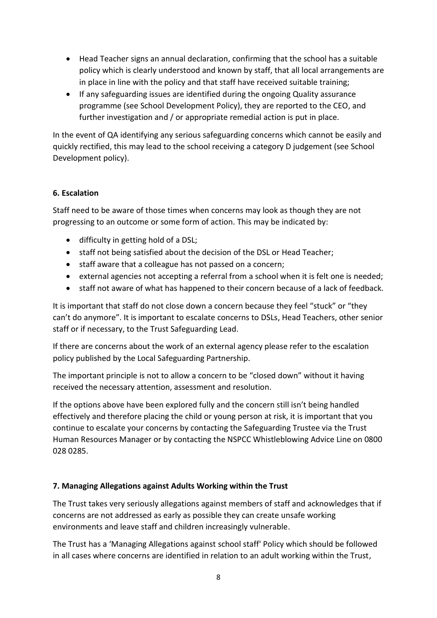- Head Teacher signs an annual declaration, confirming that the school has a suitable policy which is clearly understood and known by staff, that all local arrangements are in place in line with the policy and that staff have received suitable training;
- If any safeguarding issues are identified during the ongoing Quality assurance programme (see School Development Policy), they are reported to the CEO, and further investigation and / or appropriate remedial action is put in place.

In the event of QA identifying any serious safeguarding concerns which cannot be easily and quickly rectified, this may lead to the school receiving a category D judgement (see School Development policy).

## **6. Escalation**

Staff need to be aware of those times when concerns may look as though they are not progressing to an outcome or some form of action. This may be indicated by:

- difficulty in getting hold of a DSL;
- staff not being satisfied about the decision of the DSL or Head Teacher;
- staff aware that a colleague has not passed on a concern;
- external agencies not accepting a referral from a school when it is felt one is needed;
- staff not aware of what has happened to their concern because of a lack of feedback.

It is important that staff do not close down a concern because they feel "stuck" or "they can't do anymore". It is important to escalate concerns to DSLs, Head Teachers, other senior staff or if necessary, to the Trust Safeguarding Lead.

If there are concerns about the work of an external agency please refer to the escalation policy published by the Local Safeguarding Partnership.

The important principle is not to allow a concern to be "closed down" without it having received the necessary attention, assessment and resolution.

If the options above have been explored fully and the concern still isn't being handled effectively and therefore placing the child or young person at risk, it is important that you continue to escalate your concerns by contacting the Safeguarding Trustee via the Trust Human Resources Manager or by contacting the NSPCC Whistleblowing Advice Line on 0800 028 0285.

#### **7. Managing Allegations against Adults Working within the Trust**

The Trust takes very seriously allegations against members of staff and acknowledges that if concerns are not addressed as early as possible they can create unsafe working environments and leave staff and children increasingly vulnerable.

The Trust has a 'Managing Allegations against school staff' Policy which should be followed in all cases where concerns are identified in relation to an adult working within the Trust,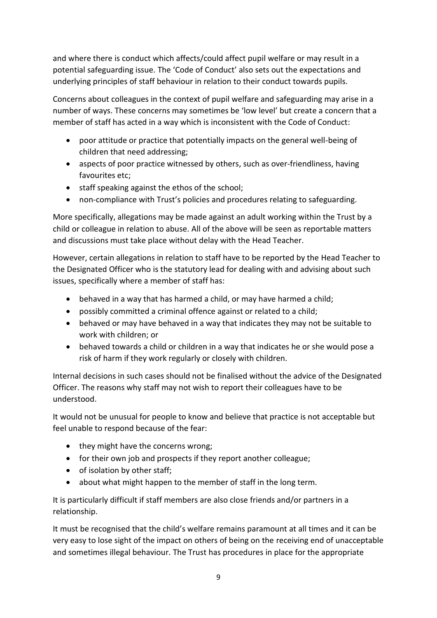and where there is conduct which affects/could affect pupil welfare or may result in a potential safeguarding issue. The 'Code of Conduct' also sets out the expectations and underlying principles of staff behaviour in relation to their conduct towards pupils.

Concerns about colleagues in the context of pupil welfare and safeguarding may arise in a number of ways. These concerns may sometimes be 'low level' but create a concern that a member of staff has acted in a way which is inconsistent with the Code of Conduct:

- poor attitude or practice that potentially impacts on the general well-being of children that need addressing;
- aspects of poor practice witnessed by others, such as over-friendliness, having favourites etc;
- staff speaking against the ethos of the school;
- non-compliance with Trust's policies and procedures relating to safeguarding.

More specifically, allegations may be made against an adult working within the Trust by a child or colleague in relation to abuse. All of the above will be seen as reportable matters and discussions must take place without delay with the Head Teacher.

However, certain allegations in relation to staff have to be reported by the Head Teacher to the Designated Officer who is the statutory lead for dealing with and advising about such issues, specifically where a member of staff has:

- behaved in a way that has harmed a child, or may have harmed a child;
- possibly committed a criminal offence against or related to a child;
- behaved or may have behaved in a way that indicates they may not be suitable to work with children; or
- behaved towards a child or children in a way that indicates he or she would pose a risk of harm if they work regularly or closely with children.

Internal decisions in such cases should not be finalised without the advice of the Designated Officer. The reasons why staff may not wish to report their colleagues have to be understood.

It would not be unusual for people to know and believe that practice is not acceptable but feel unable to respond because of the fear:

- they might have the concerns wrong;
- for their own job and prospects if they report another colleague;
- of isolation by other staff;
- about what might happen to the member of staff in the long term.

It is particularly difficult if staff members are also close friends and/or partners in a relationship.

It must be recognised that the child's welfare remains paramount at all times and it can be very easy to lose sight of the impact on others of being on the receiving end of unacceptable and sometimes illegal behaviour. The Trust has procedures in place for the appropriate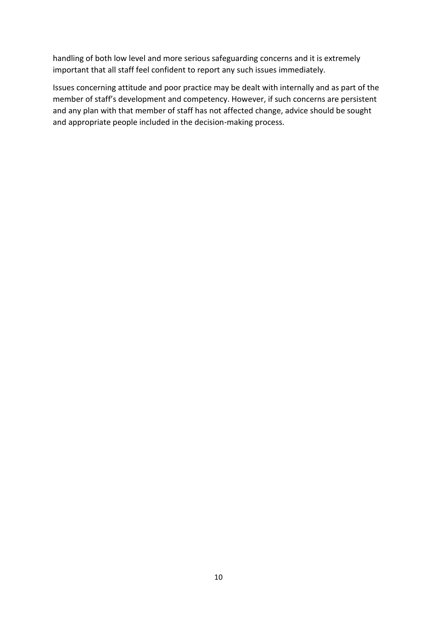handling of both low level and more serious safeguarding concerns and it is extremely important that all staff feel confident to report any such issues immediately.

Issues concerning attitude and poor practice may be dealt with internally and as part of the member of staff's development and competency. However, if such concerns are persistent and any plan with that member of staff has not affected change, advice should be sought and appropriate people included in the decision-making process.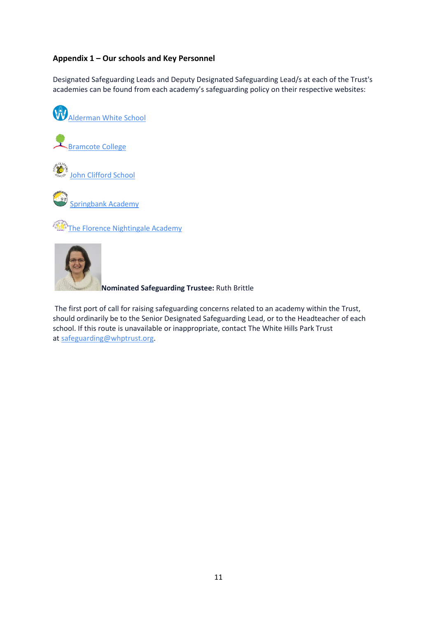## **Appendix 1 – Our schools and Key Personnel**

Designated Safeguarding Leads and Deputy Designated Safeguarding Lead/s at each of the Trust's academies can be found from each academy's safeguarding policy on their respective websites:







[Springbank Academy](https://springbank.academy/)

[The Florence Nightingale Academy](https://theflorence.academy/)



**Nominated Safeguarding Trustee:** Ruth Brittle

The first port of call for raising safeguarding concerns related to an academy within the Trust, should ordinarily be to the Senior Designated Safeguarding Lead, or to the Headteacher of each school. If this route is unavailable or inappropriate, contact The White Hills Park Trust at [safeguarding@whptrust.org.](mailto:safeguarding@whptrust.org)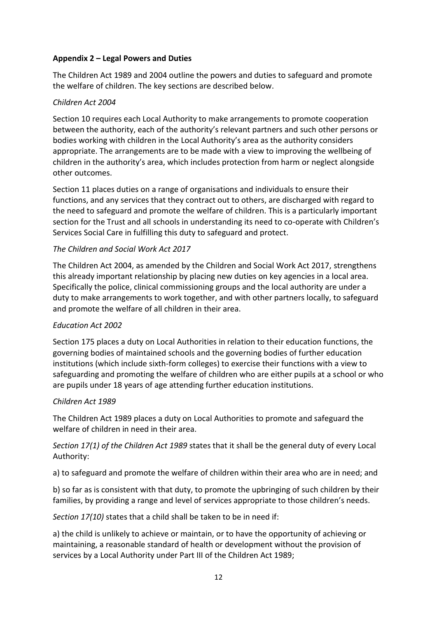#### **Appendix 2 – Legal Powers and Duties**

The Children Act 1989 and 2004 outline the powers and duties to safeguard and promote the welfare of children. The key sections are described below.

#### *Children Act 2004*

Section 10 requires each Local Authority to make arrangements to promote cooperation between the authority, each of the authority's relevant partners and such other persons or bodies working with children in the Local Authority's area as the authority considers appropriate. The arrangements are to be made with a view to improving the wellbeing of children in the authority's area, which includes protection from harm or neglect alongside other outcomes.

Section 11 places duties on a range of organisations and individuals to ensure their functions, and any services that they contract out to others, are discharged with regard to the need to safeguard and promote the welfare of children. This is a particularly important section for the Trust and all schools in understanding its need to co-operate with Children's Services Social Care in fulfilling this duty to safeguard and protect.

#### *The Children and Social Work Act 2017*

The Children Act 2004, as amended by the Children and Social Work Act 2017, strengthens this already important relationship by placing new duties on key agencies in a local area. Specifically the police, clinical commissioning groups and the local authority are under a duty to make arrangements to work together, and with other partners locally, to safeguard and promote the welfare of all children in their area.

#### *Education Act 2002*

Section 175 places a duty on Local Authorities in relation to their education functions, the governing bodies of maintained schools and the governing bodies of further education institutions (which include sixth-form colleges) to exercise their functions with a view to safeguarding and promoting the welfare of children who are either pupils at a school or who are pupils under 18 years of age attending further education institutions.

#### *Children Act 1989*

The Children Act 1989 places a duty on Local Authorities to promote and safeguard the welfare of children in need in their area.

## *Section 17(1) of the Children Act 1989* states that it shall be the general duty of every Local Authority:

a) to safeguard and promote the welfare of children within their area who are in need; and

b) so far as is consistent with that duty, to promote the upbringing of such children by their families, by providing a range and level of services appropriate to those children's needs.

*Section 17(10)* states that a child shall be taken to be in need if:

a) the child is unlikely to achieve or maintain, or to have the opportunity of achieving or maintaining, a reasonable standard of health or development without the provision of services by a Local Authority under Part III of the Children Act 1989;